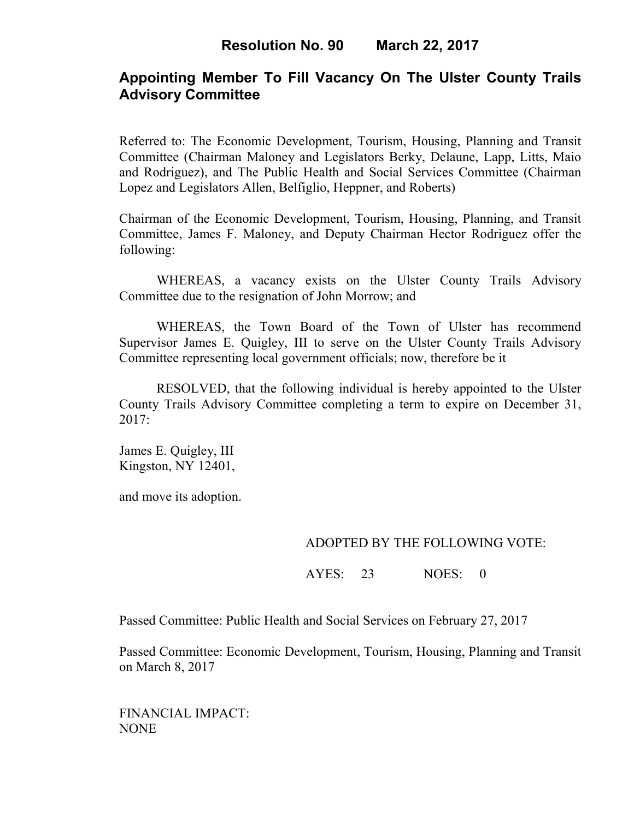# **Appointing Member To Fill Vacancy On The Ulster County Trails Advisory Committee**

Referred to: The Economic Development, Tourism, Housing, Planning and Transit Committee (Chairman Maloney and Legislators Berky, Delaune, Lapp, Litts, Maio and Rodriguez), and The Public Health and Social Services Committee (Chairman Lopez and Legislators Allen, Belfiglio, Heppner, and Roberts)

Chairman of the Economic Development, Tourism, Housing, Planning, and Transit Committee, James F. Maloney, and Deputy Chairman Hector Rodriguez offer the following:

WHEREAS, a vacancy exists on the Ulster County Trails Advisory Committee due to the resignation of John Morrow; and

 WHEREAS, the Town Board of the Town of Ulster has recommend Supervisor James E. Quigley, III to serve on the Ulster County Trails Advisory Committee representing local government officials; now, therefore be it

RESOLVED, that the following individual is hereby appointed to the Ulster County Trails Advisory Committee completing a term to expire on December 31, 2017:

James E. Quigley, III Kingston, NY 12401,

and move its adoption.

### ADOPTED BY THE FOLLOWING VOTE:

AYES: 23 NOES: 0

Passed Committee: Public Health and Social Services on February 27, 2017

Passed Committee: Economic Development, Tourism, Housing, Planning and Transit on March 8, 2017

FINANCIAL IMPACT: NONE